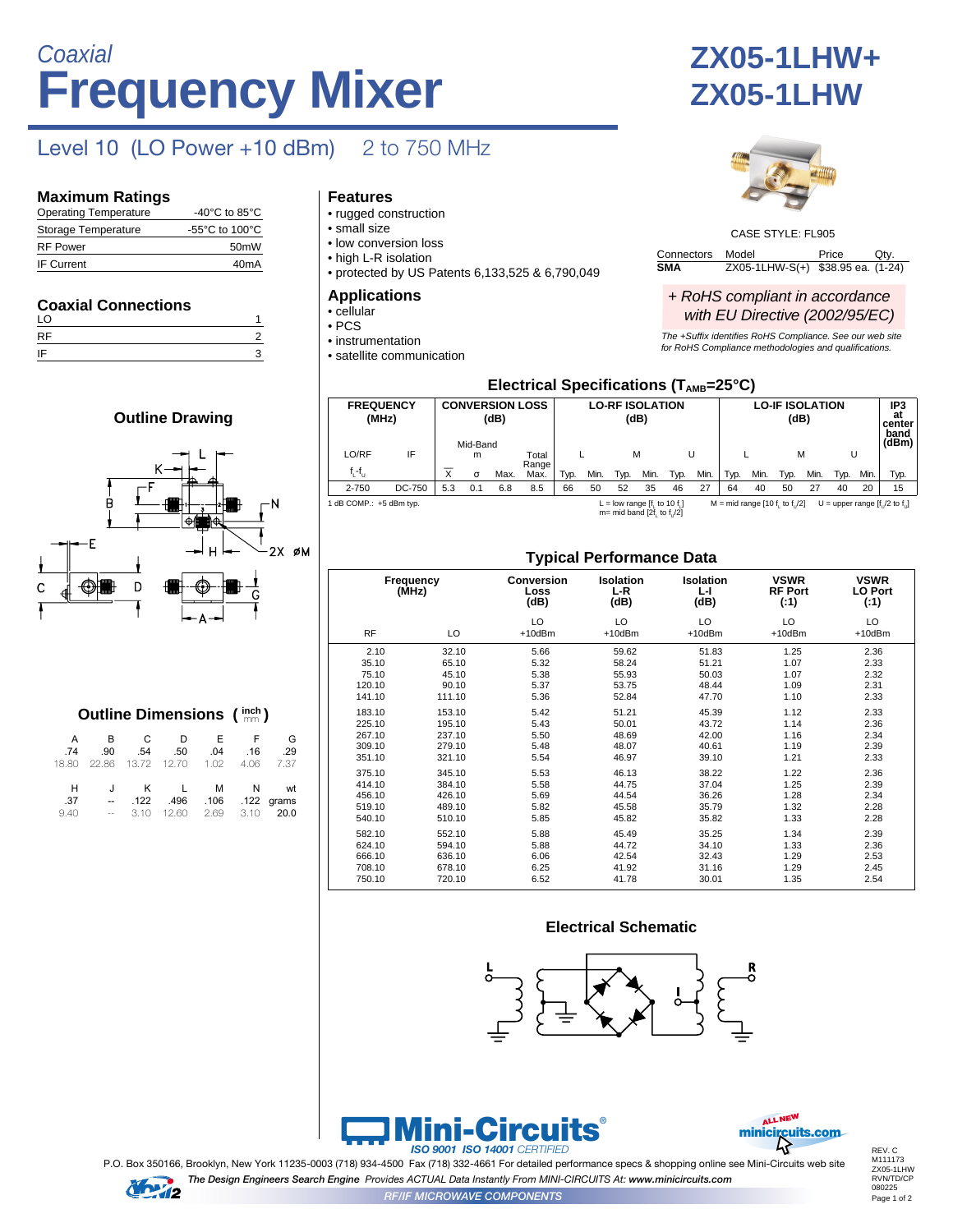# **Frequency Mixer Coaxial**

### Level 10 (LO Power +10 dBm) 2 to 750 MHz

### **Maximum Ratings**

| <b>Operating Temperature</b> | -40 $^{\circ}$ C to 85 $^{\circ}$ C                  |
|------------------------------|------------------------------------------------------|
| Storage Temperature          | -55 $\mathrm{^{\circ}C}$ to 100 $\mathrm{^{\circ}C}$ |
| <b>RF Power</b>              | 50 <sub>m</sub> W                                    |
| <b>IF Current</b>            | 40 <sub>m</sub> A                                    |

### **Coaxial Connections**

| LO |  |
|----|--|
| RF |  |
| IF |  |





|         |     |                                |     |     | <b>Outline Dimensions (<math>\frac{inch}{mm}</math>)</b> |          |
|---------|-----|--------------------------------|-----|-----|----------------------------------------------------------|----------|
| A<br>74 | .90 | $\mathsf B$ $\mathsf C$<br>.54 | .50 | .04 | D F F<br>.16                                             | G<br>.29 |
|         |     |                                |     |     | 18.80 22.86 13.72 12.70 1.02 4.06 7.37                   |          |

|  | J K L M N wt              |                | H    |
|--|---------------------------|----------------|------|
|  | 122 grams. 122 496. 122.  | $-$            | .37  |
|  | 3.10 12.60 2.69 3.10 20.0 | <b>Service</b> | 9.40 |

### **Features**

- rugged construction
- small size
- low conversion loss
- high L-R isolation
- protected by US Patents 6,133,525 & 6,790,049

#### **Applications**

- cellular
- PCS
- instrumentation • satellite communication

## **ZX05-1LHW+ ZX05-1LHW**



CASE STYLE: FL905

Connectors Model Price Qty<br>
SMA ZX05-1LHW-S(+) \$38.95 ea. (1-2 **SMA** ZX05-1LHW-S(+) \$38.95 ea. (1-24)

#### + RoHS compliant in accordance with EU Directive (2002/95/EC)

The +Suffix identifies RoHS Compliance. See our web site for RoHS Compliance methodologies and qualifications.

| Electrical Specifications ( $T_{\text{AMB}}$ =25°C) |                                                                                                                                  |                         |                                            |      |               |      |                                |      |      |      |      |                                |      |      |      |      |                                      |      |
|-----------------------------------------------------|----------------------------------------------------------------------------------------------------------------------------------|-------------------------|--------------------------------------------|------|---------------|------|--------------------------------|------|------|------|------|--------------------------------|------|------|------|------|--------------------------------------|------|
|                                                     | <b>FREQUENCY</b><br>(MHz)                                                                                                        |                         | <b>CONVERSION LOSS</b><br>(dB)<br>Mid-Band |      |               |      | <b>LO-RF ISOLATION</b><br>(dB) |      |      |      |      | <b>LO-IF ISOLATION</b><br>(dB) |      |      |      |      | IP3<br>at<br>center<br>band<br>(dBm) |      |
| LO/RF                                               | IF                                                                                                                               |                         | m                                          |      | Total         |      |                                | M    |      |      |      |                                |      | м    |      | U    |                                      |      |
| $f_1 - f_{11}$                                      |                                                                                                                                  | $\overline{\mathsf{x}}$ | $\sigma$                                   | Max. | Range<br>Max. | Typ. | Min.                           | Typ. | Min. | Typ. | Min. | Typ.                           | Min. | Typ. | Min. | Typ. | Min.                                 | Typ. |
| $2 - 750$                                           | DC-750                                                                                                                           | 5.3                     | 0.1                                        | 6.8  | 8.5           | 66   | 50                             | 52   | 35   | 46   | 27   | 64                             | 40   | 50   | 27   | 40   | 20                                   | 15   |
|                                                     | 1 dB COMP.: +5 dBm typ.<br>L = low range $[f, to 10 f, ]$<br>$M = mid range [10 f, to f]/2]$<br>U = upper range $[f]/2$ to $f$ . |                         |                                            |      |               |      |                                |      |      |      |      |                                |      |      |      |      |                                      |      |

L = low range [f<sub>L</sub> to 10 f<sub>L</sub>]<br>m= mid band [2f<sub>L</sub> to f<sub>U</sub>/2]

### **Typical Performance Data**

|           |                    | ╯                                 |                                 |                                                                          |                    |                    |  |                                       |
|-----------|--------------------|-----------------------------------|---------------------------------|--------------------------------------------------------------------------|--------------------|--------------------|--|---------------------------------------|
|           | Frequency<br>(MHz) | <b>Conversion</b><br>Loss<br>(dB) | <b>Isolation</b><br>L-R<br>(dB) | <b>VSWR</b><br><b>Isolation</b><br><b>RF Port</b><br>L-I<br>(dB)<br>(:1) |                    |                    |  | <b>VSWR</b><br><b>LO Port</b><br>(.1) |
| <b>RF</b> | LO                 | LO<br>$+10$ d $Bm$                | LO<br>$+10$ d $Bm$              | LO<br>$+10$ d $Bm$                                                       | LO<br>$+10$ d $Bm$ | LO<br>$+10$ d $Bm$ |  |                                       |
| 2.10      | 32.10              | 5.66                              | 59.62                           | 51.83                                                                    | 1.25               | 2.36               |  |                                       |
| 35.10     | 65.10              | 5.32                              | 58.24                           | 51.21                                                                    | 1.07               | 2.33               |  |                                       |
| 75.10     | 45.10              | 5.38                              | 55.93                           | 50.03                                                                    | 1.07               | 2.32               |  |                                       |
| 120.10    | 90.10              | 5.37                              | 53.75                           | 48.44                                                                    | 1.09               | 2.31               |  |                                       |
| 141.10    | 111.10             | 5.36                              | 52.84                           | 47.70                                                                    | 1.10               | 2.33               |  |                                       |
| 183.10    | 153.10             | 5.42                              | 51.21                           | 45.39                                                                    | 1.12               | 2.33               |  |                                       |
| 225.10    | 195.10             | 5.43                              | 50.01                           | 43.72                                                                    | 1.14               | 2.36               |  |                                       |
| 267.10    | 237.10             | 5.50                              | 48.69                           | 42.00                                                                    | 1.16               | 2.34               |  |                                       |
| 309.10    | 279.10             | 5.48                              | 48.07                           | 40.61                                                                    | 1.19               | 2.39               |  |                                       |
| 351.10    | 321.10             | 5.54                              | 46.97                           | 39.10                                                                    | 1.21               | 2.33               |  |                                       |
| 375.10    | 345.10             | 5.53                              | 46.13                           | 38.22                                                                    | 1.22               | 2.36               |  |                                       |
| 414.10    | 384.10             | 5.58                              | 44.75                           | 37.04                                                                    | 1.25               | 2.39               |  |                                       |
| 456.10    | 426.10             | 5.69                              | 44.54                           | 36.26                                                                    | 1.28               | 2.34               |  |                                       |
| 519.10    | 489.10             | 5.82                              | 45.58                           | 35.79                                                                    | 1.32               | 2.28               |  |                                       |
| 540.10    | 510.10             | 5.85                              | 45.82                           | 35.82                                                                    | 1.33               | 2.28               |  |                                       |
| 582.10    | 552.10             | 5.88                              | 45.49                           | 35.25                                                                    | 1.34               | 2.39               |  |                                       |
| 624.10    | 594.10             | 5.88                              | 44.72                           | 34.10                                                                    | 1.33               | 2.36               |  |                                       |
| 666.10    | 636.10             | 6.06                              | 42.54                           | 32.43                                                                    | 1.29               | 2.53               |  |                                       |
| 708.10    | 678.10             | 6.25                              | 41.92                           | 31.16                                                                    | 1.29               | 2.45               |  |                                       |
| 750.10    | 720.10             | 6.52                              | 41.78                           | 30.01                                                                    | 1.35               | 2.54               |  |                                       |

### **Electrical Schematic**







P.O. Box 350166, Brooklyn, New York 11235-0003 (718) 934-4500 Fax (718) 332-4661 For detailed performance specs & shopping online see Mini-Circuits web site *The Design Engineers Search Engine Provides ACTUAL Data Instantly From MINI-CIRCUITS At: www.minicircuits.com*



*RF/IF MICROWAVE COMPONENTS*

Page 1 of 2 REV. C M111173 ZX05-1LHW RVN/TD/CP 080225